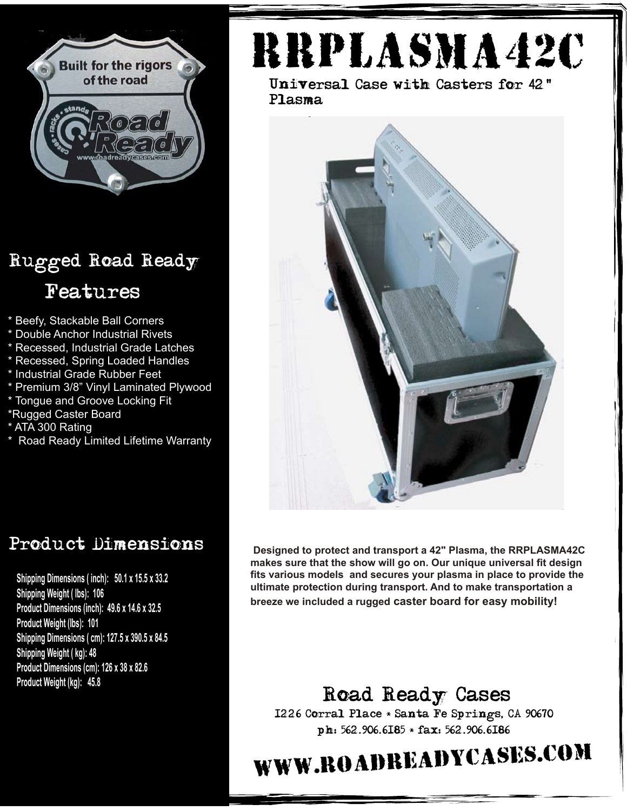

### Rugged Road Ready Features

- \* Beefy, Stackable Ball Corners
- \* Double Anchor Industrial Rivets
- \* Recessed, Industrial Grade Latches
- \* Recessed, Spring Loaded Handles
- \* Industrial Grade Rubber Feet
- \* Premium 3/8" Vinyl Laminated Plywood
- \* Tongue and Groove Locking Fit
- \*Rugged Caster Board
- \* ATA 300 Rating
- \* Road Ready Limited Lifetime Warranty

#### Product Dimensions

**Shipping Dimensions ( inch): 50.1 x 15.5 x 33.2 Shipping Weight ( lbs): 106 Product Dimensions (inch): 49.6 x 14.6 x 32.5 Product Weight (lbs): 101 Shipping Dimensions ( cm): 127.5 x 390.5 x 84.5 Shipping Weight ( kg): 48 Product Dimensions (cm): 126 x 38 x 82.6 Product Weight (kg): 45.8**

# RRplasma42c

Universal Case with Casters for 42"Plasma



**Designed to protect and transport a 42" Plasma, the RRPLASMA42C makes sure that the show will go on. Our unique universal fit design fits various models and secures your plasma in place to provide the ultimate protection during transport. And to make transportation a breeze we included a rugged caster board for easy mobility!**

#### Road Ready Cases

1226 Corral Place \* Santa Fe Springs, CA 90670 ph: 562.906.6185 \* fax: 562.906.6186

# www.roadreadycases.com